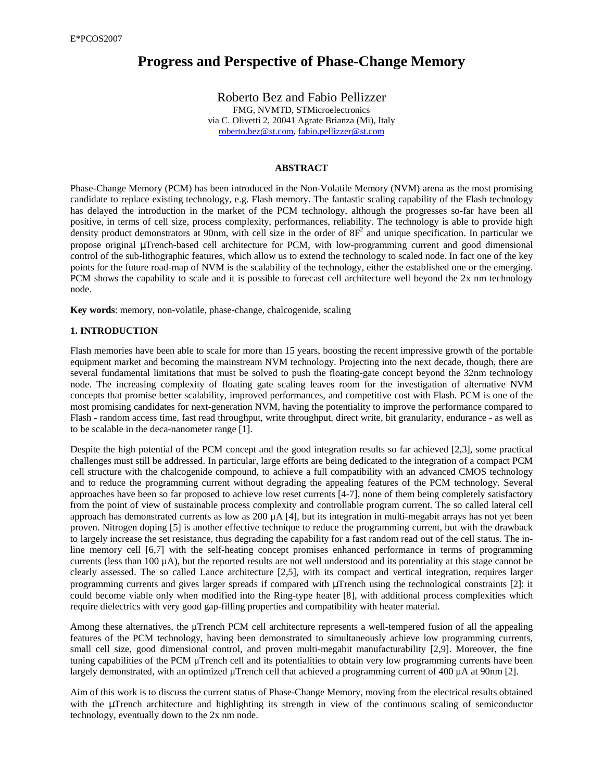# **Progress and Perspective of Phase-Change Memory**

Roberto Bez and Fabio Pellizzer FMG, NVMTD, STMicroelectronics via C. Olivetti 2, 20041 Agrate Brianza (Mi), Italy roberto.bez@st.com, fabio.pellizzer@st.com

## **ABSTRACT**

Phase-Change Memory (PCM) has been introduced in the Non-Volatile Memory (NVM) arena as the most promising candidate to replace existing technology, e.g. Flash memory. The fantastic scaling capability of the Flash technology has delayed the introduction in the market of the PCM technology, although the progresses so-far have been all positive, in terms of cell size, process complexity, performances, reliability. The technology is able to provide high density product demonstrators at 90nm, with cell size in the order of  $8F<sup>2</sup>$  and unique specification. In particular we propose original µTrench-based cell architecture for PCM, with low-programming current and good dimensional control of the sub-lithographic features, which allow us to extend the technology to scaled node. In fact one of the key points for the future road-map of NVM is the scalability of the technology, either the established one or the emerging. PCM shows the capability to scale and it is possible to forecast cell architecture well beyond the 2x nm technology node.

**Key words**: memory, non-volatile, phase-change, chalcogenide, scaling

### **1. INTRODUCTION**

Flash memories have been able to scale for more than 15 years, boosting the recent impressive growth of the portable equipment market and becoming the mainstream NVM technology. Projecting into the next decade, though, there are several fundamental limitations that must be solved to push the floating-gate concept beyond the 32nm technology node. The increasing complexity of floating gate scaling leaves room for the investigation of alternative NVM concepts that promise better scalability, improved performances, and competitive cost with Flash. PCM is one of the most promising candidates for next-generation NVM, having the potentiality to improve the performance compared to Flash - random access time, fast read throughput, write throughput, direct write, bit granularity, endurance - as well as to be scalable in the deca-nanometer range [1].

Despite the high potential of the PCM concept and the good integration results so far achieved [2,3], some practical challenges must still be addressed. In particular, large efforts are being dedicated to the integration of a compact PCM cell structure with the chalcogenide compound, to achieve a full compatibility with an advanced CMOS technology and to reduce the programming current without degrading the appealing features of the PCM technology. Several approaches have been so far proposed to achieve low reset currents [4-7], none of them being completely satisfactory from the point of view of sustainable process complexity and controllable program current. The so called lateral cell approach has demonstrated currents as low as  $200 \mu A$  [4], but its integration in multi-megabit arrays has not yet been proven. Nitrogen doping [5] is another effective technique to reduce the programming current, but with the drawback to largely increase the set resistance, thus degrading the capability for a fast random read out of the cell status. The inline memory cell [6,7] with the self-heating concept promises enhanced performance in terms of programming currents (less than  $100 \mu A$ ), but the reported results are not well understood and its potentiality at this stage cannot be clearly assessed. The so called Lance architecture [2,5], with its compact and vertical integration, requires larger programming currents and gives larger spreads if compared with µTrench using the technological constraints [2]: it could become viable only when modified into the Ring-type heater [8], with additional process complexities which require dielectrics with very good gap-filling properties and compatibility with heater material.

Among these alternatives, the µTrench PCM cell architecture represents a well-tempered fusion of all the appealing features of the PCM technology, having been demonstrated to simultaneously achieve low programming currents, small cell size, good dimensional control, and proven multi-megabit manufacturability [2,9]. Moreover, the fine tuning capabilities of the PCM µTrench cell and its potentialities to obtain very low programming currents have been largely demonstrated, with an optimized µTrench cell that achieved a programming current of 400 µA at 90nm [2].

Aim of this work is to discuss the current status of Phase-Change Memory, moving from the electrical results obtained with the µTrench architecture and highlighting its strength in view of the continuous scaling of semiconductor technology, eventually down to the 2x nm node.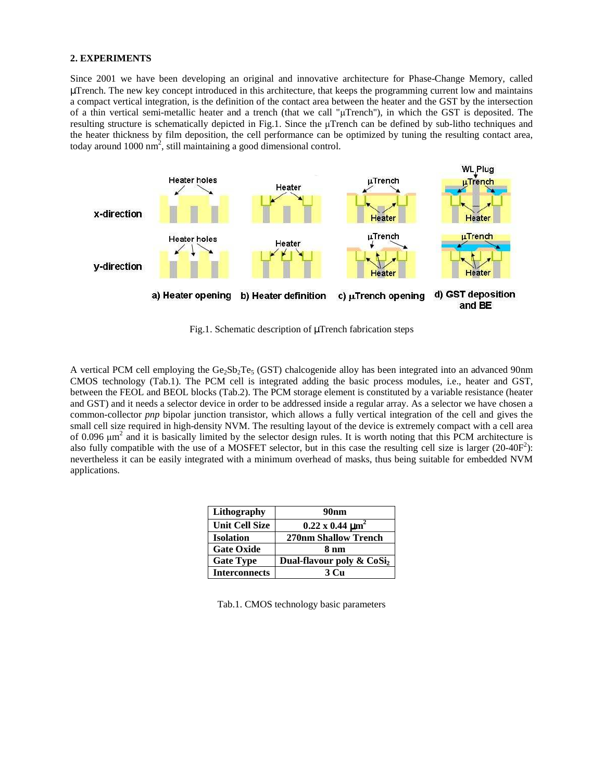#### **2. EXPERIMENTS**

Since 2001 we have been developing an original and innovative architecture for Phase-Change Memory, called µTrench. The new key concept introduced in this architecture, that keeps the programming current low and maintains a compact vertical integration, is the definition of the contact area between the heater and the GST by the intersection of a thin vertical semi-metallic heater and a trench (that we call "µTrench"), in which the GST is deposited. The resulting structure is schematically depicted in Fig.1. Since the µTrench can be defined by sub-litho techniques and the heater thickness by film deposition, the cell performance can be optimized by tuning the resulting contact area, today around  $1000 \text{ nm}^2$ , still maintaining a good dimensional control.



Fig.1. Schematic description of µTrench fabrication steps

A vertical PCM cell employing the  $Ge_5Sb_2Te_5$  (GST) chalcogenide alloy has been integrated into an advanced 90nm CMOS technology (Tab.1). The PCM cell is integrated adding the basic process modules, i.e., heater and GST, between the FEOL and BEOL blocks (Tab.2). The PCM storage element is constituted by a variable resistance (heater and GST) and it needs a selector device in order to be addressed inside a regular array. As a selector we have chosen a common-collector *pnp* bipolar junction transistor, which allows a fully vertical integration of the cell and gives the small cell size required in high-density NVM. The resulting layout of the device is extremely compact with a cell area of 0.096  $\mu$ m<sup>2</sup> and it is basically limited by the selector design rules. It is worth noting that this PCM architecture is also fully compatible with the use of a MOSFET selector, but in this case the resulting cell size is larger  $(20-40F^2)$ : nevertheless it can be easily integrated with a minimum overhead of masks, thus being suitable for embedded NVM applications.

| Lithography           | 90nm                                     |
|-----------------------|------------------------------------------|
| <b>Unit Cell Size</b> | $0.22 \times 0.44 \text{ }\mu\text{m}^2$ |
| <b>Isolation</b>      | <b>270nm Shallow Trench</b>              |
| <b>Gate Oxide</b>     | 8 nm                                     |
| <b>Gate Type</b>      | Dual-flavour poly & CoSi <sub>2</sub>    |
| <b>Interconnects</b>  | 3 Cu                                     |

Tab.1. CMOS technology basic parameters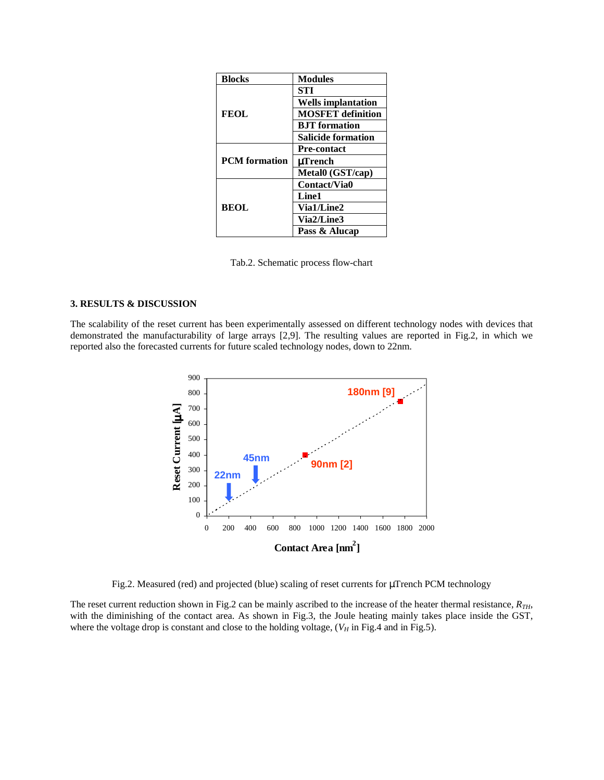| <b>Blocks</b>        | <b>Modules</b>            |
|----------------------|---------------------------|
| <b>FEOL</b>          | <b>STI</b>                |
|                      | <b>Wells implantation</b> |
|                      | <b>MOSFET</b> definition  |
|                      | <b>B.IT</b> formation     |
|                      | <b>Salicide formation</b> |
| <b>PCM</b> formation | <b>Pre-contact</b>        |
|                      | uTrench                   |
|                      | Metal0 (GST/cap)          |
| <b>BEOL</b>          | Contact/Via0              |
|                      | Line1                     |
|                      | Via1/Line2                |
|                      | Via2/Line3                |
|                      | Pass & Alucap             |

Tab.2. Schematic process flow-chart

### **3. RESULTS & DISCUSSION**

The scalability of the reset current has been experimentally assessed on different technology nodes with devices that demonstrated the manufacturability of large arrays [2,9]. The resulting values are reported in Fig.2, in which we reported also the forecasted currents for future scaled technology nodes, down to 22nm.



Fig.2. Measured (red) and projected (blue) scaling of reset currents for µTrench PCM technology

The reset current reduction shown in Fig.2 can be mainly ascribed to the increase of the heater thermal resistance, *RTH*, with the diminishing of the contact area. As shown in Fig.3, the Joule heating mainly takes place inside the GST, where the voltage drop is constant and close to the holding voltage, ( $V_H$  in Fig.4 and in Fig.5).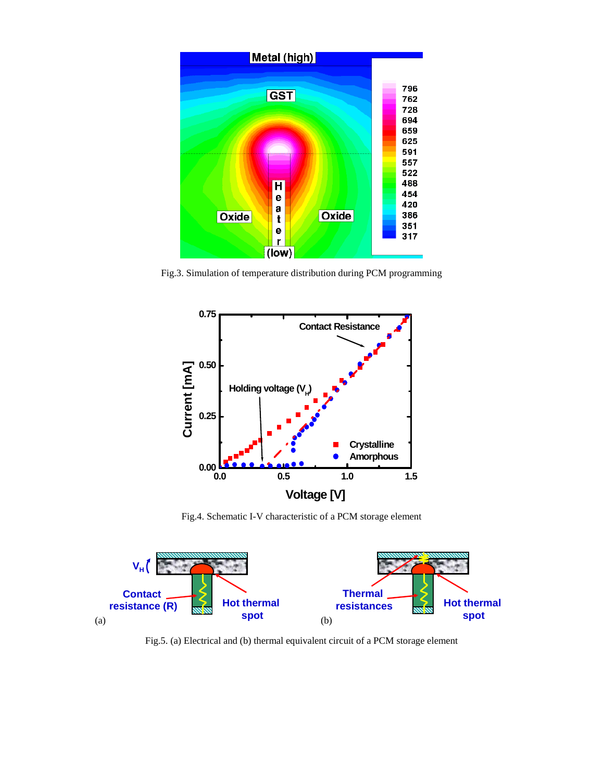

Fig.3. Simulation of temperature distribution during PCM programming



Fig.4. Schematic I-V characteristic of a PCM storage element



Fig.5. (a) Electrical and (b) thermal equivalent circuit of a PCM storage element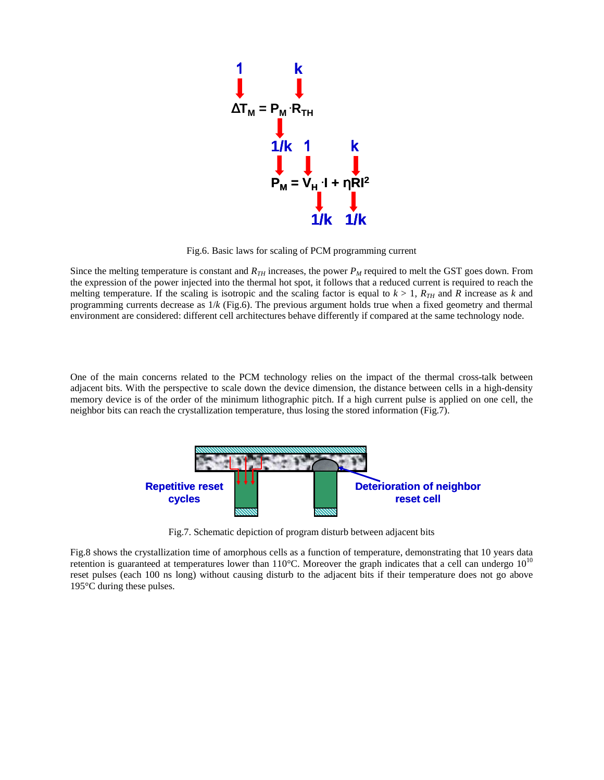

Fig.6. Basic laws for scaling of PCM programming current

Since the melting temperature is constant and  $R_{TH}$  increases, the power  $P_M$  required to melt the GST goes down. From the expression of the power injected into the thermal hot spot, it follows that a reduced current is required to reach the melting temperature. If the scaling is isotropic and the scaling factor is equal to  $k > 1$ ,  $R_{TH}$  and  $R$  increase as  $k$  and programming currents decrease as 1/*k* (Fig.6). The previous argument holds true when a fixed geometry and thermal environment are considered: different cell architectures behave differently if compared at the same technology node.

One of the main concerns related to the PCM technology relies on the impact of the thermal cross-talk between adjacent bits. With the perspective to scale down the device dimension, the distance between cells in a high-density memory device is of the order of the minimum lithographic pitch. If a high current pulse is applied on one cell, the neighbor bits can reach the crystallization temperature, thus losing the stored information (Fig.7).



Fig.7. Schematic depiction of program disturb between adjacent bits

Fig.8 shows the crystallization time of amorphous cells as a function of temperature, demonstrating that 10 years data retention is guaranteed at temperatures lower than  $110^{\circ}$ C. Moreover the graph indicates that a cell can undergo  $10^{10}$ reset pulses (each 100 ns long) without causing disturb to the adjacent bits if their temperature does not go above 195°C during these pulses.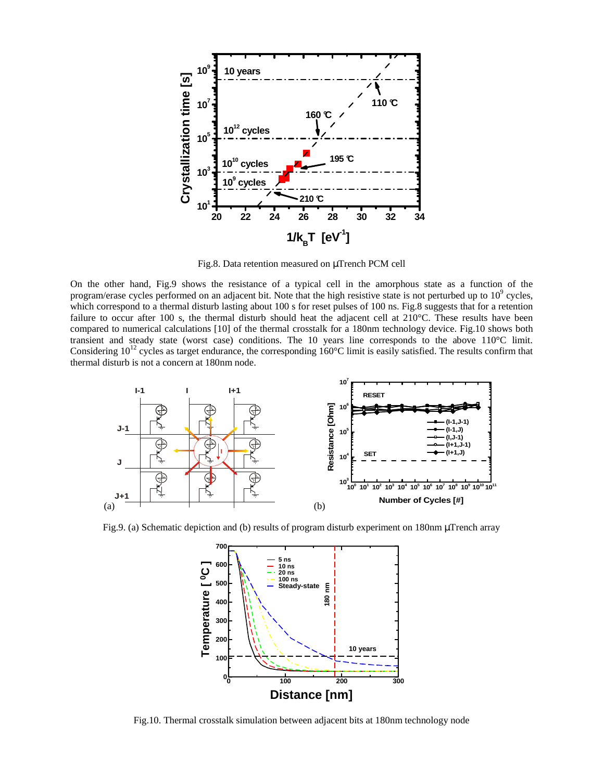

Fig.8. Data retention measured on µTrench PCM cell

On the other hand, Fig.9 shows the resistance of a typical cell in the amorphous state as a function of the program/erase cycles performed on an adjacent bit. Note that the high resistive state is not perturbed up to  $10^9$  cycles, which correspond to a thermal disturb lasting about 100 s for reset pulses of 100 ns. Fig.8 suggests that for a retention failure to occur after 100 s, the thermal disturb should heat the adjacent cell at 210°C. These results have been compared to numerical calculations [10] of the thermal crosstalk for a 180nm technology device. Fig.10 shows both transient and steady state (worst case) conditions. The 10 years line corresponds to the above 110°C limit. Considering  $10^{12}$  cycles as target endurance, the corresponding  $160^{\circ}$ C limit is easily satisfied. The results confirm that thermal disturb is not a concern at 180nm node.



Fig.9. (a) Schematic depiction and (b) results of program disturb experiment on 180nm µTrench array



Fig.10. Thermal crosstalk simulation between adjacent bits at 180nm technology node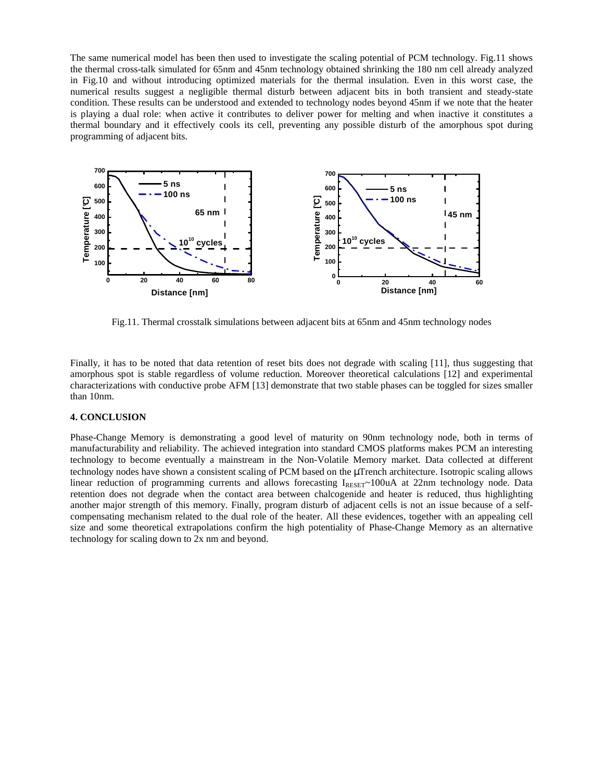The same numerical model has been then used to investigate the scaling potential of PCM technology. Fig.11 shows the thermal cross-talk simulated for 65nm and 45nm technology obtained shrinking the 180 nm cell already analyzed in Fig.10 and without introducing optimized materials for the thermal insulation. Even in this worst case, the numerical results suggest a negligible thermal disturb between adjacent bits in both transient and steady-state condition. These results can be understood and extended to technology nodes beyond 45nm if we note that the heater is playing a dual role: when active it contributes to deliver power for melting and when inactive it constitutes a thermal boundary and it effectively cools its cell, preventing any possible disturb of the amorphous spot during programming of adjacent bits.



Fig.11. Thermal crosstalk simulations between adjacent bits at 65nm and 45nm technology nodes

Finally, it has to be noted that data retention of reset bits does not degrade with scaling [11], thus suggesting that amorphous spot is stable regardless of volume reduction. Moreover theoretical calculations [12] and experimental characterizations with conductive probe AFM [13] demonstrate that two stable phases can be toggled for sizes smaller than 10nm.

## **4. CONCLUSION**

Phase-Change Memory is demonstrating a good level of maturity on 90nm technology node, both in terms of manufacturability and reliability. The achieved integration into standard CMOS platforms makes PCM an interesting technology to become eventually a mainstream in the Non-Volatile Memory market. Data collected at different technology nodes have shown a consistent scaling of PCM based on the µTrench architecture. Isotropic scaling allows linear reduction of programming currents and allows forecasting  $I_{RESFT} \sim 100uA$  at 22nm technology node. Data retention does not degrade when the contact area between chalcogenide and heater is reduced, thus highlighting another major strength of this memory. Finally, program disturb of adjacent cells is not an issue because of a selfcompensating mechanism related to the dual role of the heater. All these evidences, together with an appealing cell size and some theoretical extrapolations confirm the high potentiality of Phase-Change Memory as an alternative technology for scaling down to 2x nm and beyond.